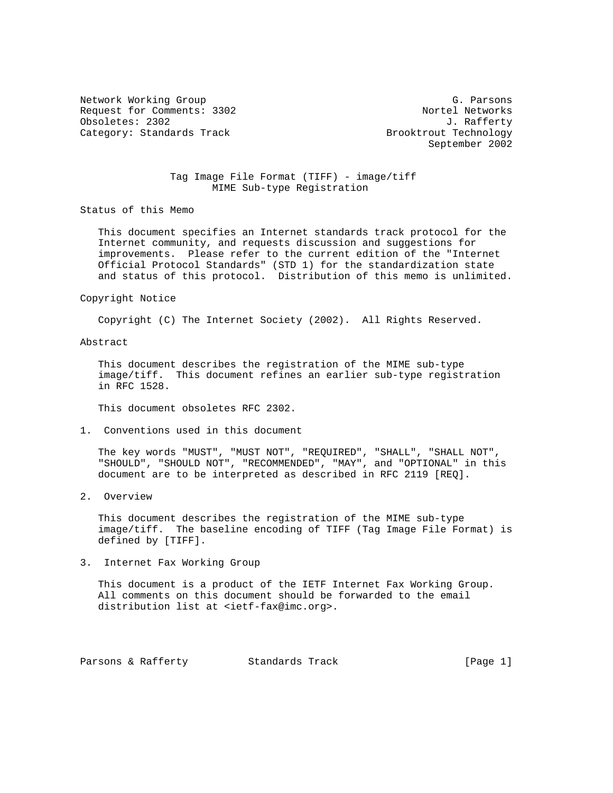Network Working Group G. Parsons Request for Comments: 3302 Nortel Networks Obsoletes: 2302 J. Rafferty<br>Category: Standards Track and the Standards Standards of Marine Brooktrout Technology Category: Standards Track

September 2002

## Tag Image File Format (TIFF) - image/tiff MIME Sub-type Registration

Status of this Memo

 This document specifies an Internet standards track protocol for the Internet community, and requests discussion and suggestions for improvements. Please refer to the current edition of the "Internet Official Protocol Standards" (STD 1) for the standardization state and status of this protocol. Distribution of this memo is unlimited.

#### Copyright Notice

Copyright (C) The Internet Society (2002). All Rights Reserved.

# Abstract

 This document describes the registration of the MIME sub-type image/tiff. This document refines an earlier sub-type registration in RFC 1528.

This document obsoletes RFC 2302.

1. Conventions used in this document

 The key words "MUST", "MUST NOT", "REQUIRED", "SHALL", "SHALL NOT", "SHOULD", "SHOULD NOT", "RECOMMENDED", "MAY", and "OPTIONAL" in this document are to be interpreted as described in RFC 2119 [REQ].

2. Overview

 This document describes the registration of the MIME sub-type image/tiff. The baseline encoding of TIFF (Tag Image File Format) is defined by [TIFF].

3. Internet Fax Working Group

 This document is a product of the IETF Internet Fax Working Group. All comments on this document should be forwarded to the email distribution list at <ietf-fax@imc.org>.

Parsons & Rafferty Standards Track [Page 1]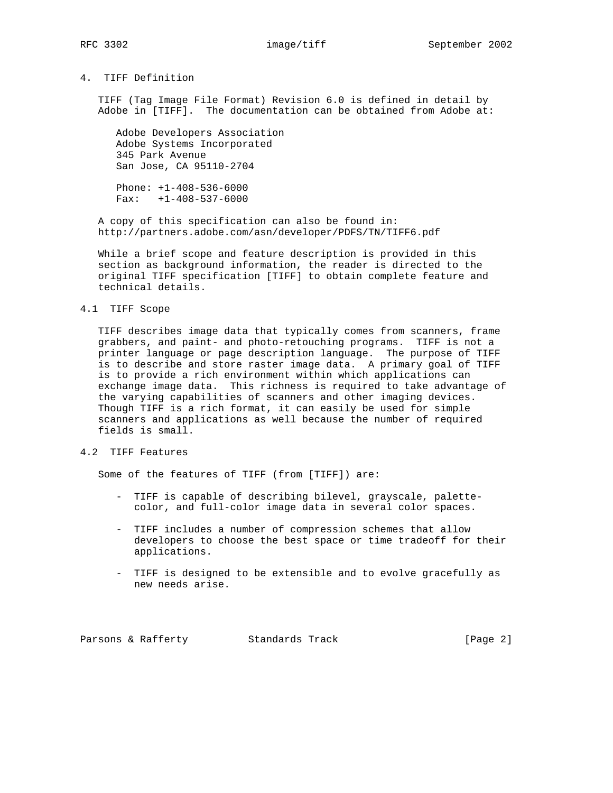# 4. TIFF Definition

 TIFF (Tag Image File Format) Revision 6.0 is defined in detail by Adobe in [TIFF]. The documentation can be obtained from Adobe at:

 Adobe Developers Association Adobe Systems Incorporated 345 Park Avenue San Jose, CA 95110-2704

 Phone: +1-408-536-6000 Fax: +1-408-537-6000

 A copy of this specification can also be found in: http://partners.adobe.com/asn/developer/PDFS/TN/TIFF6.pdf

 While a brief scope and feature description is provided in this section as background information, the reader is directed to the original TIFF specification [TIFF] to obtain complete feature and technical details.

### 4.1 TIFF Scope

 TIFF describes image data that typically comes from scanners, frame grabbers, and paint- and photo-retouching programs. TIFF is not a printer language or page description language. The purpose of TIFF is to describe and store raster image data. A primary goal of TIFF is to provide a rich environment within which applications can exchange image data. This richness is required to take advantage of the varying capabilities of scanners and other imaging devices. Though TIFF is a rich format, it can easily be used for simple scanners and applications as well because the number of required fields is small.

# 4.2 TIFF Features

Some of the features of TIFF (from [TIFF]) are:

- TIFF is capable of describing bilevel, grayscale, palette color, and full-color image data in several color spaces.
- TIFF includes a number of compression schemes that allow developers to choose the best space or time tradeoff for their applications.
- TIFF is designed to be extensible and to evolve gracefully as new needs arise.

Parsons & Rafferty Standards Track [Page 2]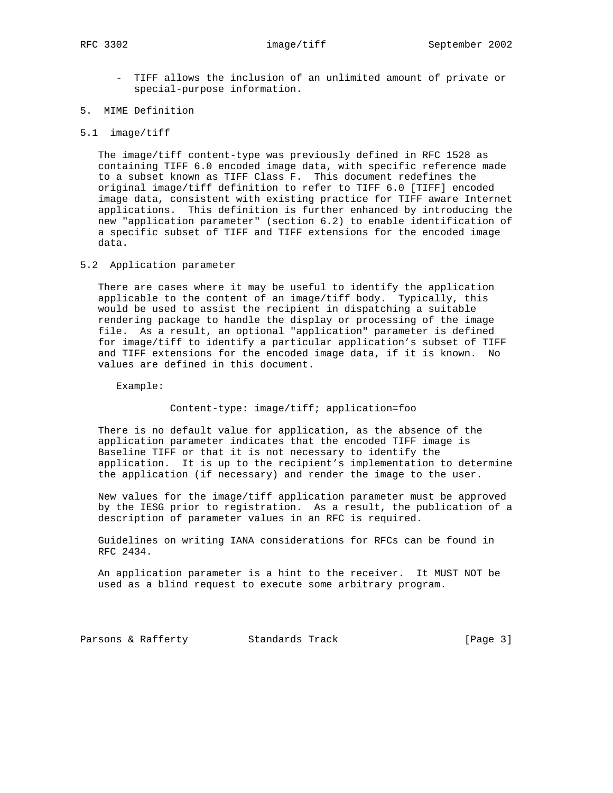- TIFF allows the inclusion of an unlimited amount of private or special-purpose information.
- 5. MIME Definition
- 5.1 image/tiff

 The image/tiff content-type was previously defined in RFC 1528 as containing TIFF 6.0 encoded image data, with specific reference made to a subset known as TIFF Class F. This document redefines the original image/tiff definition to refer to TIFF 6.0 [TIFF] encoded image data, consistent with existing practice for TIFF aware Internet applications. This definition is further enhanced by introducing the new "application parameter" (section 6.2) to enable identification of a specific subset of TIFF and TIFF extensions for the encoded image data.

5.2 Application parameter

 There are cases where it may be useful to identify the application applicable to the content of an image/tiff body. Typically, this would be used to assist the recipient in dispatching a suitable rendering package to handle the display or processing of the image file. As a result, an optional "application" parameter is defined for image/tiff to identify a particular application's subset of TIFF and TIFF extensions for the encoded image data, if it is known. No values are defined in this document.

Example:

Content-type: image/tiff; application=foo

 There is no default value for application, as the absence of the application parameter indicates that the encoded TIFF image is Baseline TIFF or that it is not necessary to identify the application. It is up to the recipient's implementation to determine the application (if necessary) and render the image to the user.

 New values for the image/tiff application parameter must be approved by the IESG prior to registration. As a result, the publication of a description of parameter values in an RFC is required.

 Guidelines on writing IANA considerations for RFCs can be found in RFC 2434.

 An application parameter is a hint to the receiver. It MUST NOT be used as a blind request to execute some arbitrary program.

Parsons & Rafferty Standards Track [Page 3]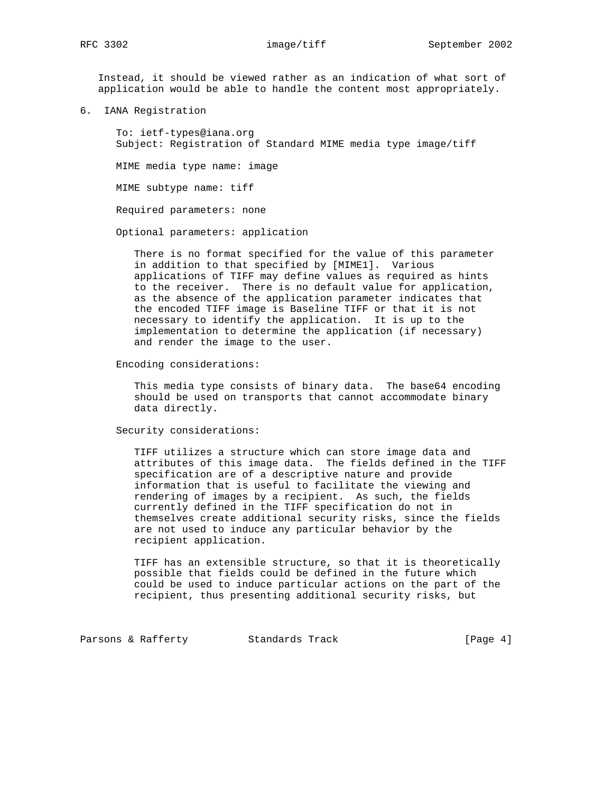Instead, it should be viewed rather as an indication of what sort of application would be able to handle the content most appropriately.

6. IANA Registration

 To: ietf-types@iana.org Subject: Registration of Standard MIME media type image/tiff

MIME media type name: image

MIME subtype name: tiff

Required parameters: none

Optional parameters: application

 There is no format specified for the value of this parameter in addition to that specified by [MIME1]. Various applications of TIFF may define values as required as hints to the receiver. There is no default value for application, as the absence of the application parameter indicates that the encoded TIFF image is Baseline TIFF or that it is not necessary to identify the application. It is up to the implementation to determine the application (if necessary) and render the image to the user.

Encoding considerations:

 This media type consists of binary data. The base64 encoding should be used on transports that cannot accommodate binary data directly.

Security considerations:

 TIFF utilizes a structure which can store image data and attributes of this image data. The fields defined in the TIFF specification are of a descriptive nature and provide information that is useful to facilitate the viewing and rendering of images by a recipient. As such, the fields currently defined in the TIFF specification do not in themselves create additional security risks, since the fields are not used to induce any particular behavior by the recipient application.

 TIFF has an extensible structure, so that it is theoretically possible that fields could be defined in the future which could be used to induce particular actions on the part of the recipient, thus presenting additional security risks, but

Parsons & Rafferty Standards Track [Page 4]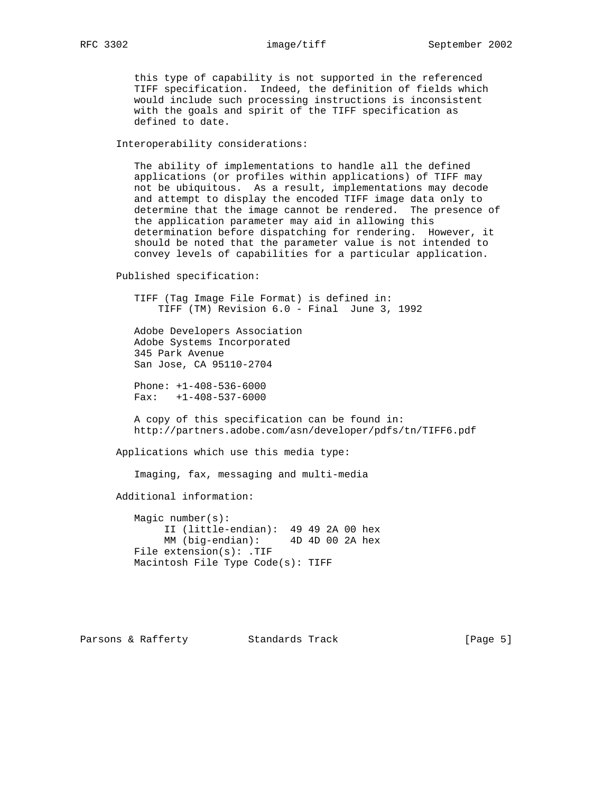this type of capability is not supported in the referenced TIFF specification. Indeed, the definition of fields which would include such processing instructions is inconsistent with the goals and spirit of the TIFF specification as defined to date.

Interoperability considerations:

 The ability of implementations to handle all the defined applications (or profiles within applications) of TIFF may not be ubiquitous. As a result, implementations may decode and attempt to display the encoded TIFF image data only to determine that the image cannot be rendered. The presence of the application parameter may aid in allowing this determination before dispatching for rendering. However, it should be noted that the parameter value is not intended to convey levels of capabilities for a particular application.

Published specification:

 TIFF (Tag Image File Format) is defined in: TIFF (TM) Revision 6.0 - Final June 3, 1992

 Adobe Developers Association Adobe Systems Incorporated 345 Park Avenue San Jose, CA 95110-2704

 Phone: +1-408-536-6000 Fax: +1-408-537-6000

 A copy of this specification can be found in: http://partners.adobe.com/asn/developer/pdfs/tn/TIFF6.pdf

Applications which use this media type:

Imaging, fax, messaging and multi-media

Additional information:

 Magic number(s): II (little-endian): 49 49 2A 00 hex MM (big-endian): 4D 4D 00 2A hex File extension(s): .TIF Macintosh File Type Code(s): TIFF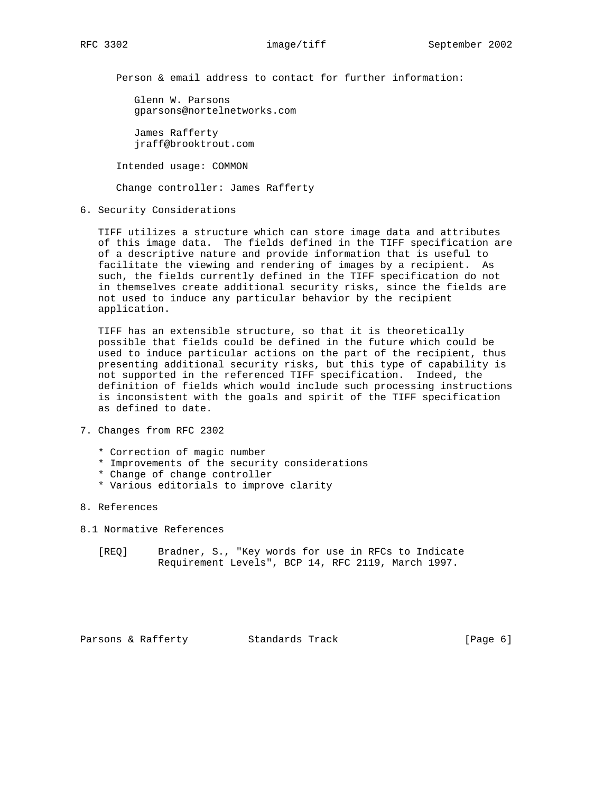Person & email address to contact for further information:

 Glenn W. Parsons gparsons@nortelnetworks.com

 James Rafferty jraff@brooktrout.com

Intended usage: COMMON

Change controller: James Rafferty

6. Security Considerations

 TIFF utilizes a structure which can store image data and attributes of this image data. The fields defined in the TIFF specification are of a descriptive nature and provide information that is useful to facilitate the viewing and rendering of images by a recipient. As such, the fields currently defined in the TIFF specification do not in themselves create additional security risks, since the fields are not used to induce any particular behavior by the recipient application.

 TIFF has an extensible structure, so that it is theoretically possible that fields could be defined in the future which could be used to induce particular actions on the part of the recipient, thus presenting additional security risks, but this type of capability is not supported in the referenced TIFF specification. Indeed, the definition of fields which would include such processing instructions is inconsistent with the goals and spirit of the TIFF specification as defined to date.

- 7. Changes from RFC 2302
	- \* Correction of magic number
	- \* Improvements of the security considerations
	- \* Change of change controller
	- \* Various editorials to improve clarity
- 8. References
- 8.1 Normative References
	- [REQ] Bradner, S., "Key words for use in RFCs to Indicate Requirement Levels", BCP 14, RFC 2119, March 1997.

Parsons & Rafferty Standards Track [Page 6]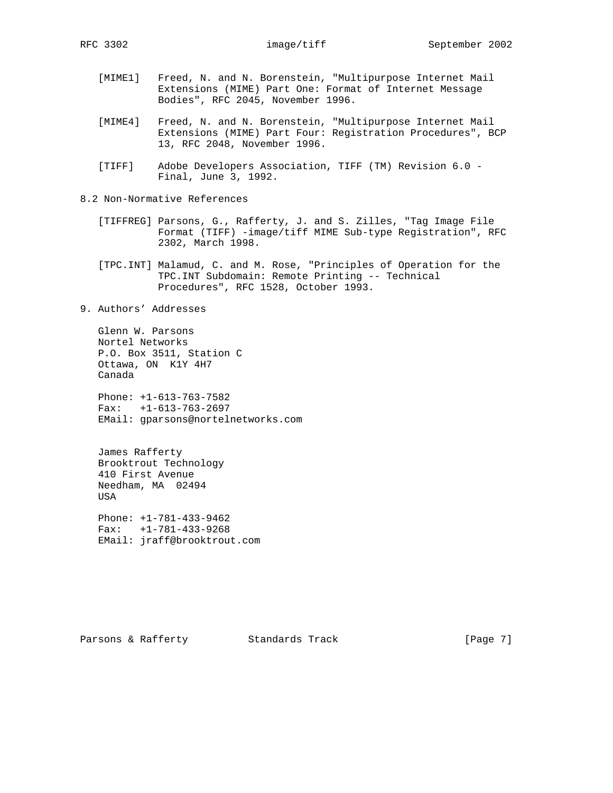- [MIME1] Freed, N. and N. Borenstein, "Multipurpose Internet Mail Extensions (MIME) Part One: Format of Internet Message Bodies", RFC 2045, November 1996.
- [MIME4] Freed, N. and N. Borenstein, "Multipurpose Internet Mail Extensions (MIME) Part Four: Registration Procedures", BCP 13, RFC 2048, November 1996.
- [TIFF] Adobe Developers Association, TIFF (TM) Revision 6.0 Final, June 3, 1992.
- 8.2 Non-Normative References
	- [TIFFREG] Parsons, G., Rafferty, J. and S. Zilles, "Tag Image File Format (TIFF) -image/tiff MIME Sub-type Registration", RFC 2302, March 1998.
	- [TPC.INT] Malamud, C. and M. Rose, "Principles of Operation for the TPC.INT Subdomain: Remote Printing -- Technical Procedures", RFC 1528, October 1993.
- 9. Authors' Addresses

 Glenn W. Parsons Nortel Networks P.O. Box 3511, Station C Ottawa, ON K1Y 4H7 Canada

 Phone: +1-613-763-7582 Fax: +1-613-763-2697 EMail: gparsons@nortelnetworks.com

 James Rafferty Brooktrout Technology 410 First Avenue Needham, MA 02494 USA

 Phone: +1-781-433-9462 Fax: +1-781-433-9268 EMail: jraff@brooktrout.com

Parsons & Rafferty Standards Track [Page 7]